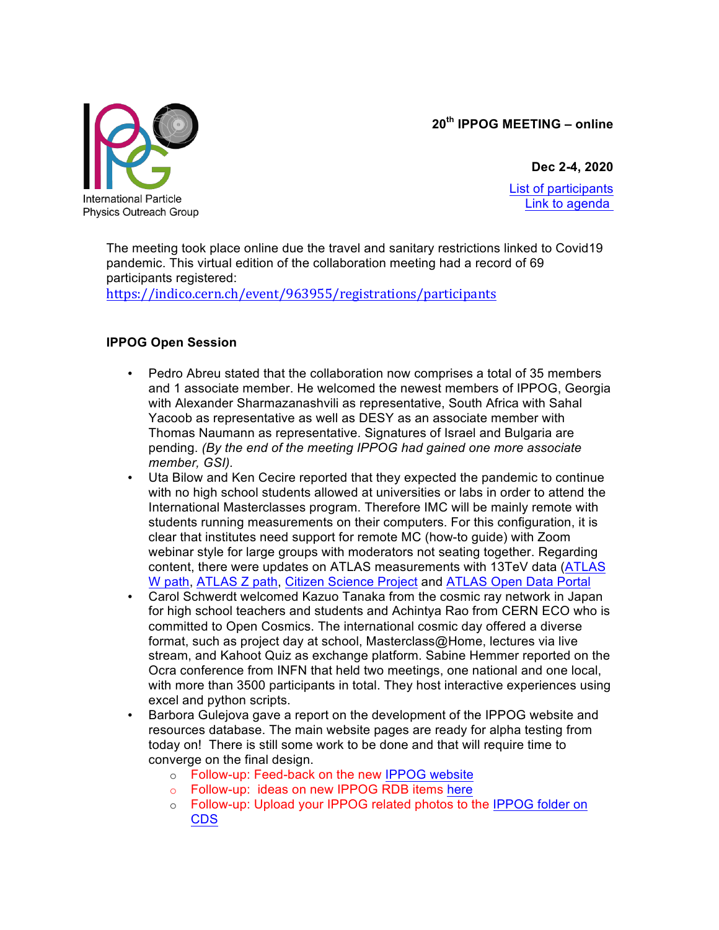**20th IPPOG MEETING – online**



**Dec 2-4, 2020** List of participants Link to agenda

The meeting took place online due the travel and sanitary restrictions linked to Covid19 pandemic. This virtual edition of the collaboration meeting had a record of 69 participants registered:

https://indico.cern.ch/event/963955/registrations/participants

# **IPPOG Open Session**

- Pedro Abreu stated that the collaboration now comprises a total of 35 members and 1 associate member. He welcomed the newest members of IPPOG, Georgia with Alexander Sharmazanashvili as representative, South Africa with Sahal Yacoob as representative as well as DESY as an associate member with Thomas Naumann as representative. Signatures of Israel and Bulgaria are pending. *(By the end of the meeting IPPOG had gained one more associate member, GSI).*
- Uta Bilow and Ken Cecire reported that they expected the pandemic to continue with no high school students allowed at universities or labs in order to attend the International Masterclasses program. Therefore IMC will be mainly remote with students running measurements on their computers. For this configuration, it is clear that institutes need support for remote MC (how-to guide) with Zoom webinar style for large groups with moderators not seating together. Regarding content, there were updates on ATLAS measurements with 13TeV data (ATLAS W path, ATLAS Z path, Citizen Science Project and ATLAS Open Data Portal
- Carol Schwerdt welcomed Kazuo Tanaka from the cosmic ray network in Japan for high school teachers and students and Achintya Rao from CERN ECO who is committed to Open Cosmics. The international cosmic day offered a diverse format, such as project day at school, Masterclass@Home, lectures via live stream, and Kahoot Quiz as exchange platform. Sabine Hemmer reported on the Ocra conference from INFN that held two meetings, one national and one local, with more than 3500 participants in total. They host interactive experiences using excel and python scripts.
- Barbora Gulejova gave a report on the development of the IPPOG website and resources database. The main website pages are ready for alpha testing from today on! There is still some work to be done and that will require time to converge on the final design.
	- o Follow-up: Feed-back on the new IPPOG website
	- o Follow-up: ideas on new IPPOG RDB items here
	- o Follow-up: Upload your IPPOG related photos to the IPPOG folder on CDS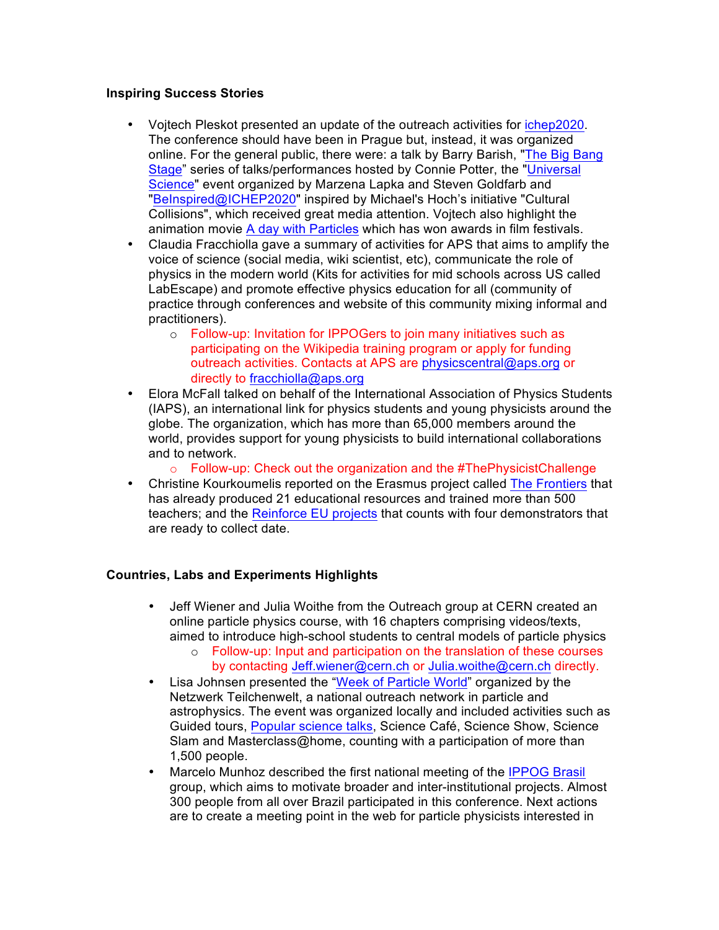## **Inspiring Success Stories**

- Vojtech Pleskot presented an update of the outreach activities for ichep2020. The conference should have been in Prague but, instead, it was organized online. For the general public, there were: a talk by Barry Barish, "The Big Bang Stage" series of talks/performances hosted by Connie Potter, the "Universal Science" event organized by Marzena Lapka and Steven Goldfarb and "BeInspired@ICHEP2020" inspired by Michael's Hoch's initiative "Cultural Collisions", which received great media attention. Vojtech also highlight the animation movie A day with Particles which has won awards in film festivals.
- Claudia Fracchiolla gave a summary of activities for APS that aims to amplify the voice of science (social media, wiki scientist, etc), communicate the role of physics in the modern world (Kits for activities for mid schools across US called LabEscape) and promote effective physics education for all (community of practice through conferences and website of this community mixing informal and practitioners).
	- o Follow-up: Invitation for IPPOGers to join many initiatives such as participating on the Wikipedia training program or apply for funding outreach activities. Contacts at APS are physicscentral@aps.org or directly to fracchiolla@aps.org
- Elora McFall talked on behalf of the International Association of Physics Students (IAPS), an international link for physics students and young physicists around the globe. The organization, which has more than 65,000 members around the world, provides support for young physicists to build international collaborations and to network.
	- $\circ$  Follow-up: Check out the organization and the #ThePhysicistChallenge
- Christine Kourkoumelis reported on the Erasmus project called The Frontiers that has already produced 21 educational resources and trained more than 500 teachers; and the Reinforce EU projects that counts with four demonstrators that are ready to collect date.

## **Countries, Labs and Experiments Highlights**

- Jeff Wiener and Julia Woithe from the Outreach group at CERN created an online particle physics course, with 16 chapters comprising videos/texts, aimed to introduce high-school students to central models of particle physics
	- $\circ$  Follow-up: Input and participation on the translation of these courses by contacting Jeff.wiener@cern.ch or Julia.woithe@cern.ch directly.
- Lisa Johnsen presented the "Week of Particle World" organized by the Netzwerk Teilchenwelt, a national outreach network in particle and astrophysics. The event was organized locally and included activities such as Guided tours, Popular science talks, Science Café, Science Show, Science Slam and Masterclass@home, counting with a participation of more than 1,500 people.
- Marcelo Munhoz described the first national meeting of the IPPOG Brasil group, which aims to motivate broader and inter-institutional projects. Almost 300 people from all over Brazil participated in this conference. Next actions are to create a meeting point in the web for particle physicists interested in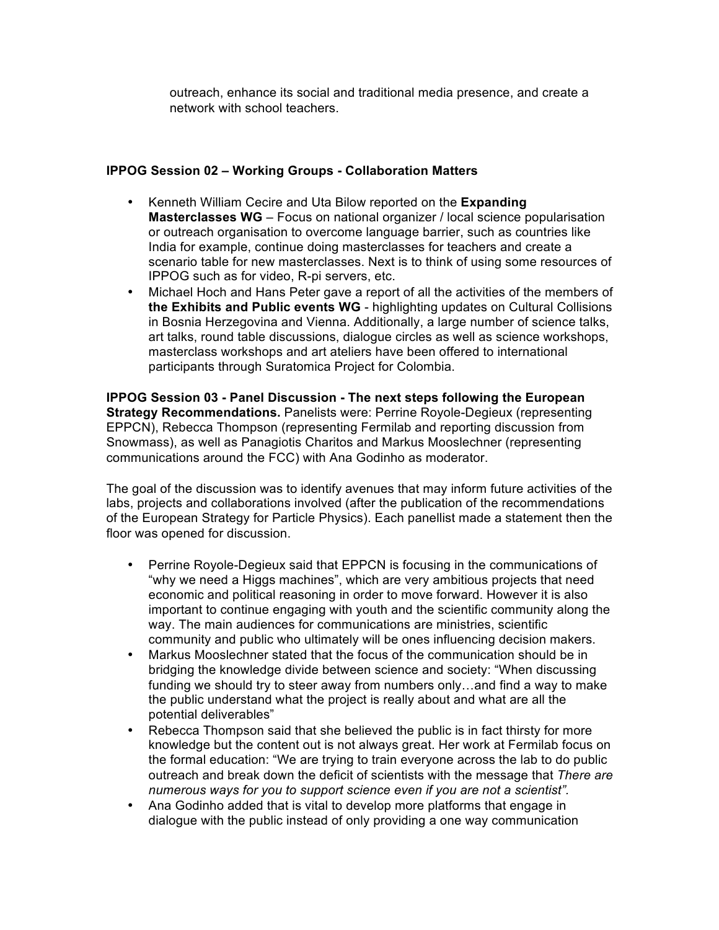outreach, enhance its social and traditional media presence, and create a network with school teachers.

### **IPPOG Session 02 – Working Groups - Collaboration Matters**

- Kenneth William Cecire and Uta Bilow reported on the **Expanding Masterclasses WG** – Focus on national organizer / local science popularisation or outreach organisation to overcome language barrier, such as countries like India for example, continue doing masterclasses for teachers and create a scenario table for new masterclasses. Next is to think of using some resources of IPPOG such as for video, R-pi servers, etc.
- Michael Hoch and Hans Peter gave a report of all the activities of the members of **the Exhibits and Public events WG** - highlighting updates on Cultural Collisions in Bosnia Herzegovina and Vienna. Additionally, a large number of science talks, art talks, round table discussions, dialogue circles as well as science workshops, masterclass workshops and art ateliers have been offered to international participants through Suratomica Project for Colombia.

**IPPOG Session 03 - Panel Discussion - The next steps following the European Strategy Recommendations.** Panelists were: Perrine Royole-Degieux (representing EPPCN), Rebecca Thompson (representing Fermilab and reporting discussion from Snowmass), as well as Panagiotis Charitos and Markus Mooslechner (representing communications around the FCC) with Ana Godinho as moderator.

The goal of the discussion was to identify avenues that may inform future activities of the labs, projects and collaborations involved (after the publication of the recommendations of the European Strategy for Particle Physics). Each panellist made a statement then the floor was opened for discussion.

- Perrine Royole-Degieux said that EPPCN is focusing in the communications of "why we need a Higgs machines", which are very ambitious projects that need economic and political reasoning in order to move forward. However it is also important to continue engaging with youth and the scientific community along the way. The main audiences for communications are ministries, scientific community and public who ultimately will be ones influencing decision makers.
- Markus Mooslechner stated that the focus of the communication should be in bridging the knowledge divide between science and society: "When discussing funding we should try to steer away from numbers only…and find a way to make the public understand what the project is really about and what are all the potential deliverables"
- Rebecca Thompson said that she believed the public is in fact thirsty for more knowledge but the content out is not always great. Her work at Fermilab focus on the formal education: "We are trying to train everyone across the lab to do public outreach and break down the deficit of scientists with the message that *There are numerous ways for you to support science even if you are not a scientist".*
- Ana Godinho added that is vital to develop more platforms that engage in dialogue with the public instead of only providing a one way communication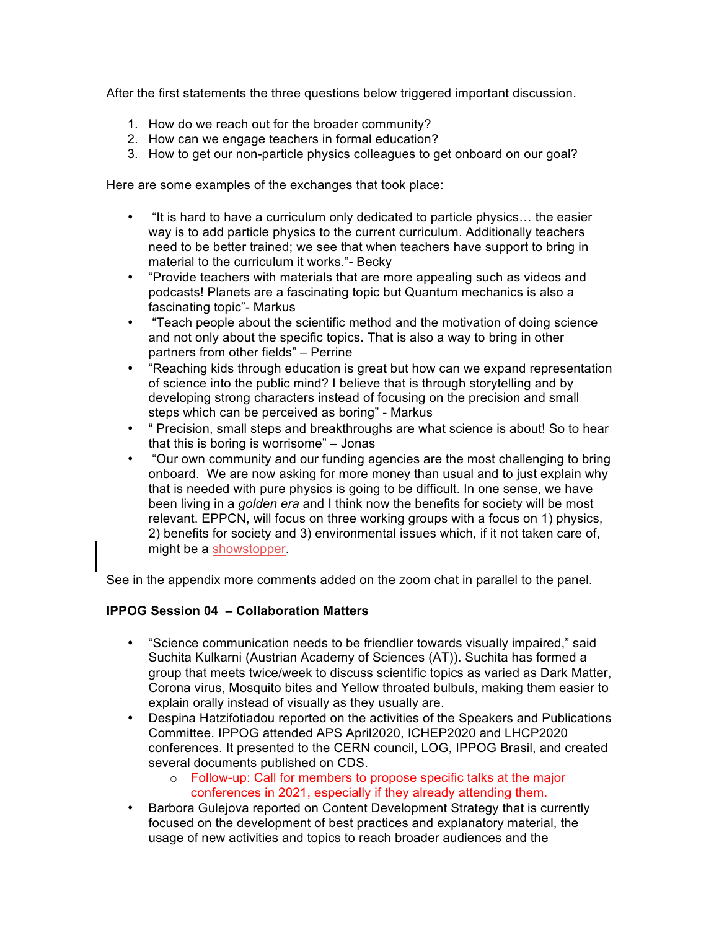After the first statements the three questions below triggered important discussion.

- 1. How do we reach out for the broader community?
- 2. How can we engage teachers in formal education?
- 3. How to get our non-particle physics colleagues to get onboard on our goal?

Here are some examples of the exchanges that took place:

- "It is hard to have a curriculum only dedicated to particle physics… the easier way is to add particle physics to the current curriculum. Additionally teachers need to be better trained; we see that when teachers have support to bring in material to the curriculum it works."- Becky
- "Provide teachers with materials that are more appealing such as videos and podcasts! Planets are a fascinating topic but Quantum mechanics is also a fascinating topic"- Markus
- "Teach people about the scientific method and the motivation of doing science and not only about the specific topics. That is also a way to bring in other partners from other fields" – Perrine
- "Reaching kids through education is great but how can we expand representation of science into the public mind? I believe that is through storytelling and by developing strong characters instead of focusing on the precision and small steps which can be perceived as boring" - Markus
- " Precision, small steps and breakthroughs are what science is about! So to hear that this is boring is worrisome" – Jonas
- "Our own community and our funding agencies are the most challenging to bring onboard. We are now asking for more money than usual and to just explain why that is needed with pure physics is going to be difficult. In one sense, we have been living in a *golden era* and I think now the benefits for society will be most relevant. EPPCN, will focus on three working groups with a focus on 1) physics, 2) benefits for society and 3) environmental issues which, if it not taken care of, might be a showstopper.

See in the appendix more comments added on the zoom chat in parallel to the panel.

#### **IPPOG Session 04 – Collaboration Matters**

- "Science communication needs to be friendlier towards visually impaired," said Suchita Kulkarni (Austrian Academy of Sciences (AT)). Suchita has formed a group that meets twice/week to discuss scientific topics as varied as Dark Matter, Corona virus, Mosquito bites and Yellow throated bulbuls, making them easier to explain orally instead of visually as they usually are.
- Despina Hatzifotiadou reported on the activities of the Speakers and Publications Committee. IPPOG attended APS April2020, ICHEP2020 and LHCP2020 conferences. It presented to the CERN council, LOG, IPPOG Brasil, and created several documents published on CDS.
	- o Follow-up: Call for members to propose specific talks at the major conferences in 2021, especially if they already attending them.
- Barbora Gulejova reported on Content Development Strategy that is currently focused on the development of best practices and explanatory material, the usage of new activities and topics to reach broader audiences and the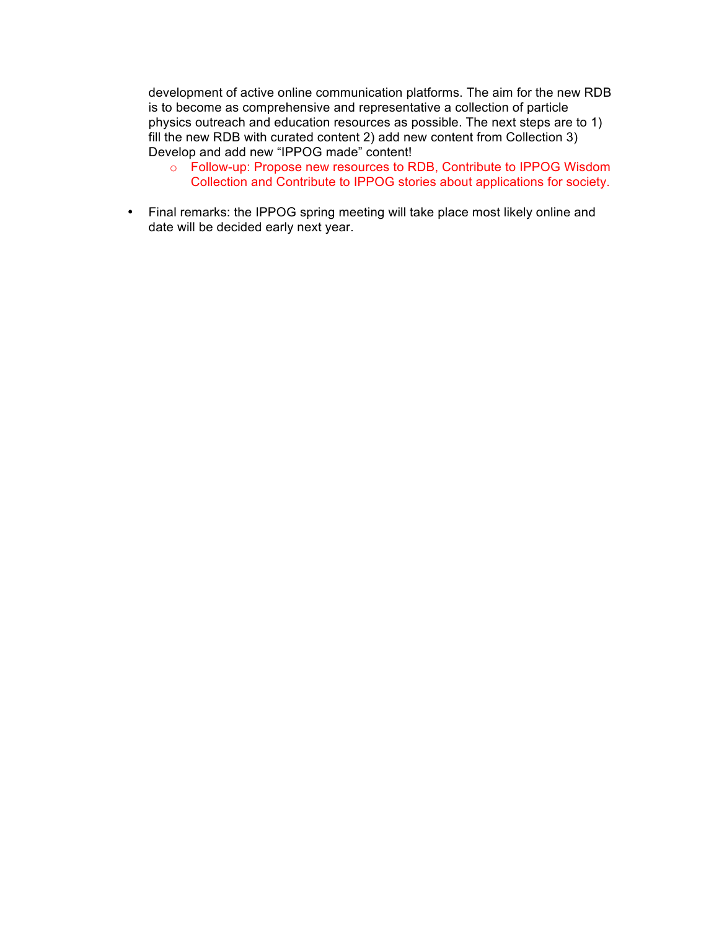development of active online communication platforms. The aim for the new RDB is to become as comprehensive and representative a collection of particle physics outreach and education resources as possible. The next steps are to 1) fill the new RDB with curated content 2) add new content from Collection 3) Develop and add new "IPPOG made" content!

- o Follow-up: Propose new resources to RDB, Contribute to IPPOG Wisdom Collection and Contribute to IPPOG stories about applications for society.
- Final remarks: the IPPOG spring meeting will take place most likely online and date will be decided early next year.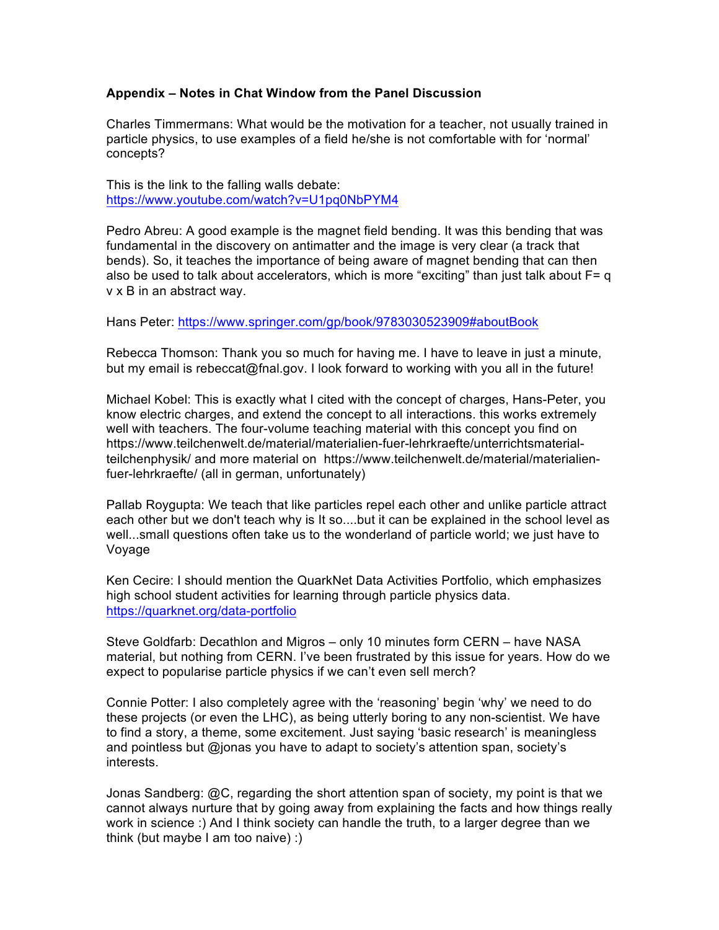#### **Appendix – Notes in Chat Window from the Panel Discussion**

Charles Timmermans: What would be the motivation for a teacher, not usually trained in particle physics, to use examples of a field he/she is not comfortable with for 'normal' concepts?

This is the link to the falling walls debate: https://www.youtube.com/watch?v=U1pq0NbPYM4

Pedro Abreu: A good example is the magnet field bending. It was this bending that was fundamental in the discovery on antimatter and the image is very clear (a track that bends). So, it teaches the importance of being aware of magnet bending that can then also be used to talk about accelerators, which is more "exciting" than just talk about  $F= q$ v x B in an abstract way.

Hans Peter: https://www.springer.com/gp/book/9783030523909#aboutBook

Rebecca Thomson: Thank you so much for having me. I have to leave in just a minute, but my email is rebeccat@fnal.gov. I look forward to working with you all in the future!

Michael Kobel: This is exactly what I cited with the concept of charges, Hans-Peter, you know electric charges, and extend the concept to all interactions. this works extremely well with teachers. The four-volume teaching material with this concept you find on https://www.teilchenwelt.de/material/materialien-fuer-lehrkraefte/unterrichtsmaterialteilchenphysik/ and more material on https://www.teilchenwelt.de/material/materialienfuer-lehrkraefte/ (all in german, unfortunately)

Pallab Roygupta: We teach that like particles repel each other and unlike particle attract each other but we don't teach why is It so....but it can be explained in the school level as well...small questions often take us to the wonderland of particle world; we just have to Voyage

Ken Cecire: I should mention the QuarkNet Data Activities Portfolio, which emphasizes high school student activities for learning through particle physics data. https://quarknet.org/data-portfolio

Steve Goldfarb: Decathlon and Migros – only 10 minutes form CERN – have NASA material, but nothing from CERN. I've been frustrated by this issue for years. How do we expect to popularise particle physics if we can't even sell merch?

Connie Potter: I also completely agree with the 'reasoning' begin 'why' we need to do these projects (or even the LHC), as being utterly boring to any non-scientist. We have to find a story, a theme, some excitement. Just saying 'basic research' is meaningless and pointless but @jonas you have to adapt to society's attention span, society's interests.

Jonas Sandberg: @C, regarding the short attention span of society, my point is that we cannot always nurture that by going away from explaining the facts and how things really work in science :) And I think society can handle the truth, to a larger degree than we think (but maybe I am too naive) :)